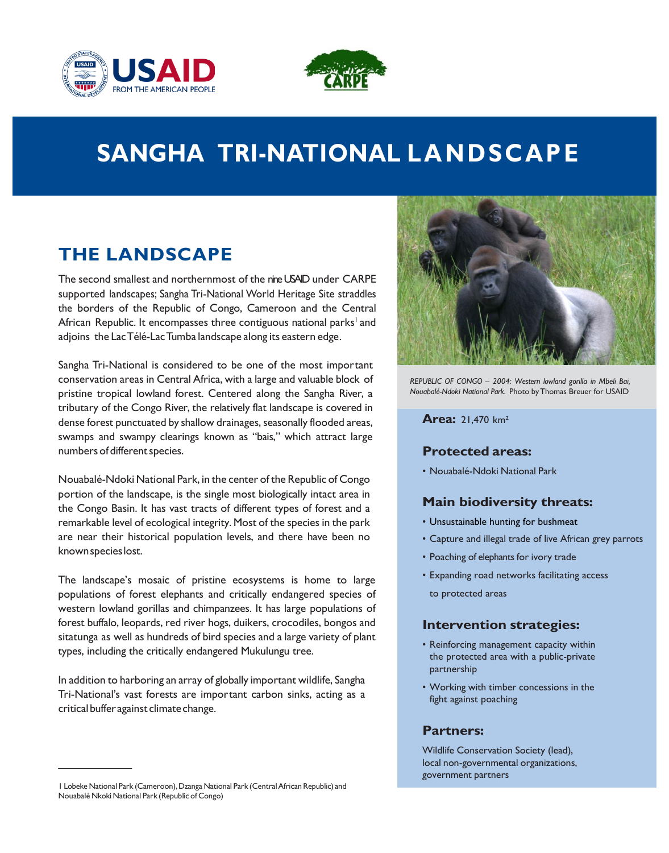



# **SANGHA TRI-NATIONAL LA NDSCAPE**

# **THE LANDSCAPE**

The second smallest and northernmost of the nine USAID under CARPE supported landscapes; Sangha Tri-National World Heritage Site straddles the borders of the Republic of Congo, Cameroon and the Central African Republic. It encompasses three contiguous national parks<sup>1</sup> and adjoins the LacTélé-LacTumba landscape along its eastern edge.

 Sangha Tri-National is considered to be one of the most important conservation areas in Central Africa, with a large and valuable block of pristine tropical lowland forest. Centered along the Sangha River, a tributary of the Congo River, the relatively flat landscape is covered in dense forest punctuated by shallow drainages, seasonally flooded areas, swamps and swampy clearings known as "bais," which attract large numbers of different species.

 Nouabalé-Ndoki National Park, in the center of the Republic of Congo portion of the landscape, is the single most biologically intact area in the Congo Basin. It has vast tracts of different types of forest and a remarkable level of ecological integrity. Most of the species in the park are near their historical population levels, and there have been no knownspecieslost.

 The landscape's mosaic of pristine ecosystems is home to large populations of forest elephants and critically endangered species of western lowland gorillas and chimpanzees. It has large populations of forest buffalo, leopards, red river hogs, duikers, crocodiles, bongos and sitatunga as well as hundreds of bird species and a large variety of plant types, including the critically endangered Mukulungu tree.

 In addition to harboring an array of globally important wildlife, Sangha Tri-National's vast forests are important carbon sinks, acting as a critical buffer against climate change.



## **Protected areas:**

• Nouabalé-Ndoki National Park

## **Main biodiversity threats:**

- Unsustainable hunting for bushmeat
- Capture and illegal trade of live African grey parrots
- Poaching of elephants for ivory trade
- Expanding road networks facilitating access to protected areas

#### **Intervention strategies:**

- • Reinforcing management capacity within the protected area with a public-private partnership
- • Working with timber concessions in the fight against poaching

## **Partners:**

 Wildlife Conservation Society (lead), local non-governmental organizations, government partners

 1 Lobeke National Park (Cameroon),Dzanga National Park (CentralAfrican Republic) and Nouabalé Nkoki National Park (Republic of Congo)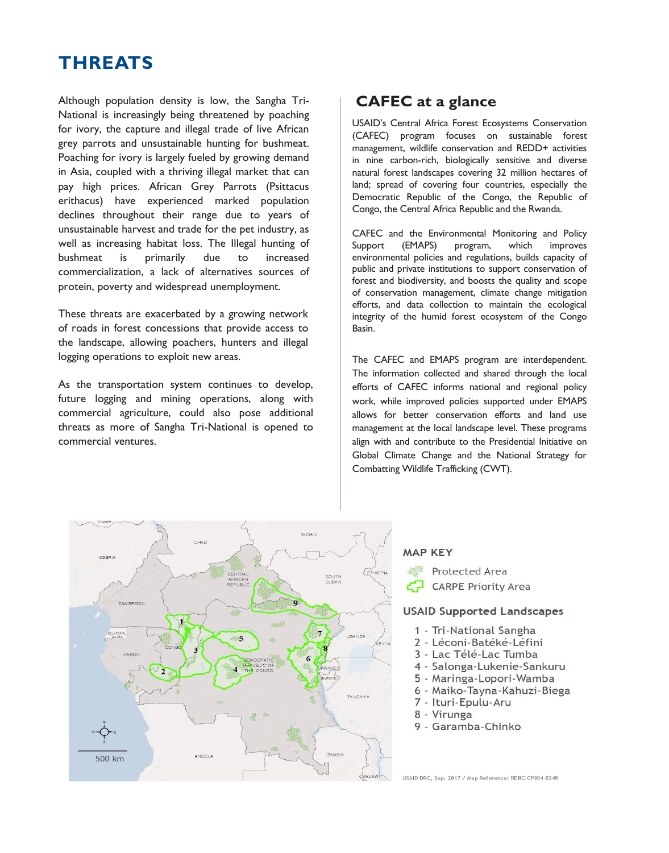# **THREATS**

 Although population density is low, the Sangha Tri- National is increasingly being threatened by poaching grey parrots and unsustainable hunting for bushmeat. Poaching for ivory is largely fueled by growing demand in Asia, coupled with a thriving illegal market that can pay high prices. African Grey Parrots (Psittacus declines throughout their range due to years of unsustainable harvest and trade for the pet industry, as well as increasing habitat loss. The Illegal hunting of bushmeat commercialization, a lack of alternatives sources of protein, poverty and widespread unemployment. for ivory, the capture and illegal trade of live African erithacus) have experienced marked population is primarily due to increased

 These threats are exacerbated by a growing network of roads in forest concessions that provide access to the landscape, allowing poachers, hunters and illegal logging operations to exploit new areas.

 As the transportation system continues to develop, future logging and mining operations, along with commercial agriculture, could also pose additional threats as more of Sangha Tri-National is opened to commercial ventures.

# **CAFEC at a glance**

 USAID's Central Africa Forest Ecosystems Conservation (CAFEC) program focuses on sustainable forest management, wildlife conservation and REDD+ activities in nine carbon-rich, biologically sensitive and diverse natural forest landscapes covering 32 million hectares of land; spread of covering four countries, especially the Democratic Republic of the Congo, the Republic of Congo, the Central Africa Republic and the Rwanda.

 CAFEC and the Environmental Monitoring and Policy Support environmental policies and regulations, builds capacity of public and private institutions to support conservation of forest and biodiversity, and boosts the quality and scope of conservation management, climate change mitigation efforts, and data collection to maintain the ecological integrity of the humid forest ecosystem of the Congo (EMAPS) program, which improves Basin.

 The CAFEC and EMAPS program are interdependent. The information collected and shared through the local efforts of CAFEC informs national and regional policy work, while improved policies supported under EMAPS allows for better conservation efforts and land use management at the local landscape level. These programs align with and contribute to the Presidential Initiative on Global Climate Change and the National Strategy for Combatting Wildlife Trafficking (CWT).



#### **MAP KEY**

**Protected Area** 

**CARPE Priority Area** cz

#### **USAID Supported Landscapes**

- 1 Tri-National Sangha
- 2 Léconi-Batéké-Léfini
- 3 Lac Télé-Lac Tumba
- 4 Salonga-Lukenie-Sankuru
- 5 Maringa-Lopori-Wamba
- 6 Maiko-Tayna-Kahuzi-Biega
- 7 Ituri-Epulu-Aru
- 8 Virunga
- 9 Garamba-Chinko

USAID DRC, Sep. 2017 / Map Reference: RDRC-CP004-0248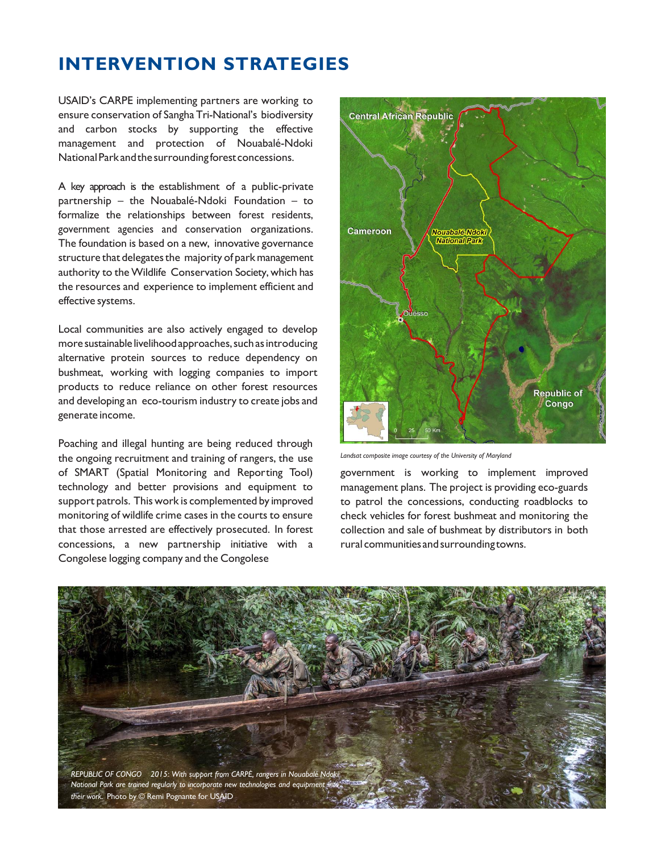# **INTERVENTION STRATEGIES**

 USAID's CARPE implementing partners are working to ensure conservation of Sangha Tri-National's biodiversity and carbon stocks by supporting the effective management and protection of Nouabalé-Ndoki National Park and the surroundingforest concessions.

 A key approach is the establishment of a public-private partnership – the Nouabalé-Ndoki Foundation – to formalize the relationships between forest residents, government agencies and conservation organizations. The foundation is based on a new, innovative governance structure that delegates the majority of park management authority to the Wildlife Conservation Society, which has the resources and experience to implement efficient and effective systems.

 Local communities are also actively engaged to develop more sustainable livelihood approaches, suchasintroducing alternative protein sources to reduce dependency on bushmeat, working with logging companies to import products to reduce reliance on other forest resources and developing an eco-tourism industry to create jobs and generate income.

 Poaching and illegal hunting are being reduced through the ongoing recruitment and training of rangers, the use of SMART (Spatial Monitoring and Reporting Tool) technology and better provisions and equipment to support patrols. This work is complemented by improved monitoring of wildlife crime cases in the courts to ensure that those arrested are effectively prosecuted. In forest concessions, a new partnership initiative with a Congolese logging company and the Congolese



 *Landsat composite image courtesy of the University of Maryland* 

 government is working to implement improved management plans. The project is providing eco-guards to patrol the concessions, conducting roadblocks to check vehicles for forest bushmeat and monitoring the collection and sale of bushmeat by distributors in both rural communitiesand surrounding towns.